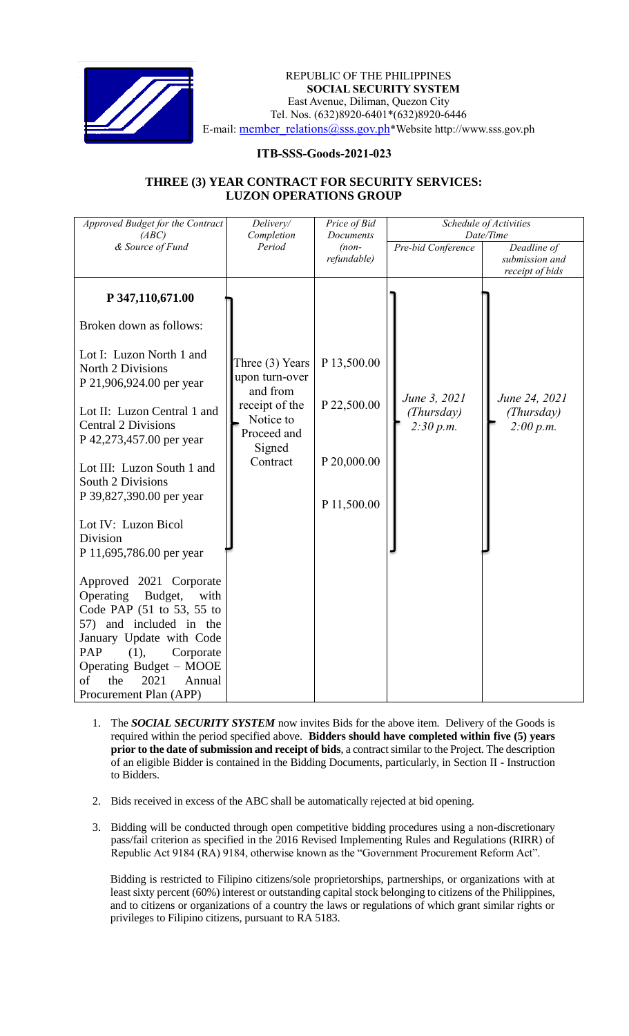

 *Invitation to Bid* REPUBLIC OF THE PHILIPPINES **SOCIAL SECURITY SYSTEM** East Avenue, Diliman, Quezon City Tel. Nos. (632)8920-6401\*(632)8920-6446 E-mail: member\_relations@sss.gov.ph\*Website http://www.sss.gov.ph

## **ITB-SSS-Goods-2021-023**

## **THREE (3) YEAR CONTRACT FOR SECURITY SERVICES: LUZON OPERATIONS GROUP**

| Approved Budget for the Contract<br>(ABC)                                                                                                                                                                                                                                                                                                                                                                                                                                                                                                                                                                                      | Delivery/<br>Completion                                                                                           | Price of Bid<br>Documents<br>$(non-$<br>refundable)      | Schedule of Activities<br>Date/Time     |                                                  |
|--------------------------------------------------------------------------------------------------------------------------------------------------------------------------------------------------------------------------------------------------------------------------------------------------------------------------------------------------------------------------------------------------------------------------------------------------------------------------------------------------------------------------------------------------------------------------------------------------------------------------------|-------------------------------------------------------------------------------------------------------------------|----------------------------------------------------------|-----------------------------------------|--------------------------------------------------|
| & Source of Fund                                                                                                                                                                                                                                                                                                                                                                                                                                                                                                                                                                                                               | Period                                                                                                            |                                                          | Pre-bid Conference                      | Deadline of<br>submission and<br>receipt of bids |
| P 347,110,671.00<br>Broken down as follows:<br>Lot I: Luzon North 1 and<br>North 2 Divisions<br>P 21,906,924.00 per year<br>Lot II: Luzon Central 1 and<br><b>Central 2 Divisions</b><br>P 42,273,457.00 per year<br>Lot III: Luzon South 1 and<br>South 2 Divisions<br>P 39,827,390.00 per year<br>Lot IV: Luzon Bicol<br>Division<br>P 11,695,786.00 per year<br>Approved 2021 Corporate<br>Operating<br>Budget,<br>with<br>Code PAP (51 to 53, 55 to<br>57) and included in the<br>January Update with Code<br>PAP<br>(1),<br>Corporate<br>Operating Budget - MOOE<br>2021<br>of<br>the<br>Annual<br>Procurement Plan (APP) | Three (3) Years<br>upon turn-over<br>and from<br>receipt of the<br>Notice to<br>Proceed and<br>Signed<br>Contract | P 13,500.00<br>P 22,500.00<br>P 20,000.00<br>P 11,500.00 | June 3, 2021<br>(Thursday)<br>2:30 p.m. | June 24, 2021<br>(Thursday)<br>2:00 p.m.         |

- 1. The *SOCIAL SECURITY SYSTEM* now invites Bids for the above item. Delivery of the Goods is required within the period specified above. **Bidders should have completed within five (5) years prior to the date of submission and receipt of bids**, a contract similar to the Project. The description of an eligible Bidder is contained in the Bidding Documents, particularly, in Section II - Instruction to Bidders.
- 2. Bids received in excess of the ABC shall be automatically rejected at bid opening.
- 3. Bidding will be conducted through open competitive bidding procedures using a non-discretionary pass/fail criterion as specified in the 2016 Revised Implementing Rules and Regulations (RIRR) of Republic Act 9184 (RA) 9184, otherwise known as the "Government Procurement Reform Act".

Bidding is restricted to Filipino citizens/sole proprietorships, partnerships, or organizations with at least sixty percent (60%) interest or outstanding capital stock belonging to citizens of the Philippines, and to citizens or organizations of a country the laws or regulations of which grant similar rights or privileges to Filipino citizens, pursuant to RA 5183.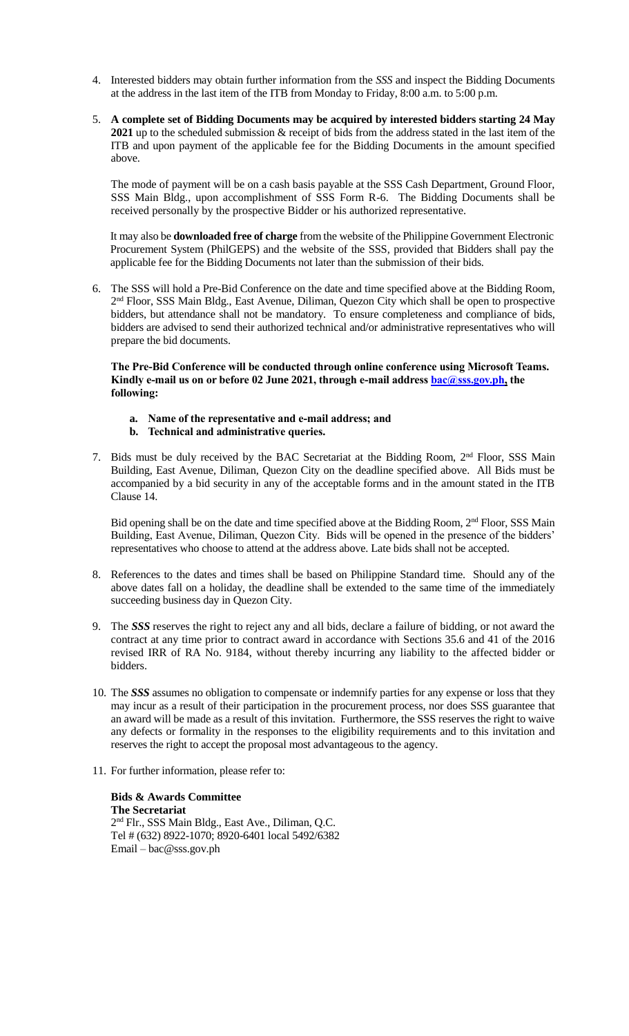- 4. Interested bidders may obtain further information from the *SSS* and inspect the Bidding Documents at the address in the last item of the ITB from Monday to Friday, 8:00 a.m. to 5:00 p.m.
- 5. **A complete set of Bidding Documents may be acquired by interested bidders starting 24 May 2021** up to the scheduled submission & receipt of bids from the address stated in the last item of the ITB and upon payment of the applicable fee for the Bidding Documents in the amount specified above.

The mode of payment will be on a cash basis payable at the SSS Cash Department, Ground Floor, SSS Main Bldg., upon accomplishment of SSS Form R-6. The Bidding Documents shall be received personally by the prospective Bidder or his authorized representative.

It may also be **downloaded free of charge** from the website of the Philippine Government Electronic Procurement System (PhilGEPS) and the website of the SSS*,* provided that Bidders shall pay the applicable fee for the Bidding Documents not later than the submission of their bids.

6. The SSS will hold a Pre-Bid Conference on the date and time specified above at the Bidding Room, 2<sup>nd</sup> Floor, SSS Main Bldg., East Avenue, Diliman, Quezon City which shall be open to prospective bidders, but attendance shall not be mandatory. To ensure completeness and compliance of bids, bidders are advised to send their authorized technical and/or administrative representatives who will prepare the bid documents.

**The Pre-Bid Conference will be conducted through online conference using Microsoft Teams. Kindly e-mail us on or before 02 June 2021, through e-mail address bac@sss.gov.ph, the following:**

- **a. Name of the representative and e-mail address; and**
- **b. Technical and administrative queries.**
- 7. Bids must be duly received by the BAC Secretariat at the Bidding Room,  $2<sup>nd</sup>$  Floor, SSS Main Building, East Avenue, Diliman, Quezon City on the deadline specified above. All Bids must be accompanied by a bid security in any of the acceptable forms and in the amount stated in the ITB Clause 14.

Bid opening shall be on the date and time specified above at the Bidding Room, 2<sup>nd</sup> Floor, SSS Main Building, East Avenue, Diliman, Quezon City. Bids will be opened in the presence of the bidders' representatives who choose to attend at the address above. Late bids shall not be accepted.

- 8. References to the dates and times shall be based on Philippine Standard time. Should any of the above dates fall on a holiday, the deadline shall be extended to the same time of the immediately succeeding business day in Quezon City.
- 9. The *SSS* reserves the right to reject any and all bids, declare a failure of bidding, or not award the contract at any time prior to contract award in accordance with Sections 35.6 and 41 of the 2016 revised IRR of RA No. 9184, without thereby incurring any liability to the affected bidder or bidders.
- 10. The *SSS* assumes no obligation to compensate or indemnify parties for any expense or loss that they may incur as a result of their participation in the procurement process, nor does SSS guarantee that an award will be made as a result of this invitation. Furthermore, the SSS reserves the right to waive any defects or formality in the responses to the eligibility requirements and to this invitation and reserves the right to accept the proposal most advantageous to the agency.
- 11. For further information, please refer to:

**Bids & Awards Committee The Secretariat** 2 nd Flr., SSS Main Bldg., East Ave., Diliman, Q.C. Tel # (632) 8922-1070; 8920-6401 local 5492/6382 Email – bac@sss.gov.ph